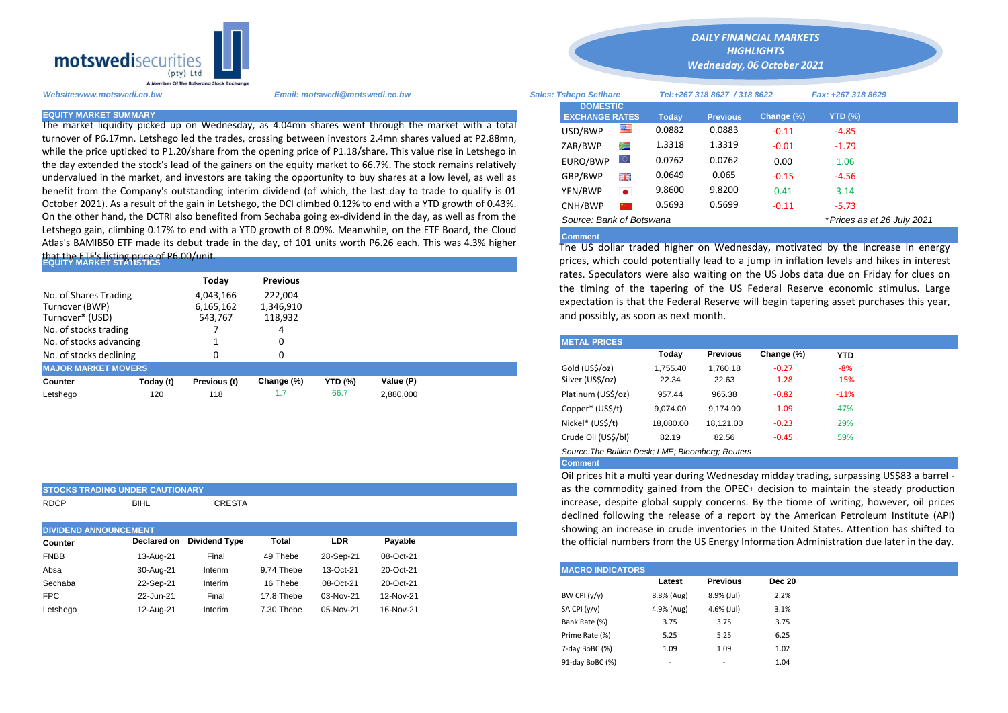

The market liquidity picked up on Wednesday, as 4.04mn shares went through the market with a total turnover of P6.17mn. Letshego led the trades, crossing between investors 2.4mn shares valued at P2.88mn, while the price upticked to P1.20/share from the opening price of P1.18/share. This value rise in Letshego in the day extended the stock's lead of the gainers on the equity market to 66.7%. The stock remains relatively undervalued in the market, and investors are taking the opportunity to buy shares at a low level, as well as benefit from the Company's outstanding interim dividend (of which, the last day to trade to qualify is 01 October 2021). As a result of the gain in Letshego, the DCI climbed 0.12% to end with a YTD growth of 0.43%. On the other hand, the DCTRI also benefited from Sechaba going ex-dividend in the day, as well as from the Letshego gain, climbing 0.17% to end with a YTD growth of 8.09%. Meanwhile, on the ETF Board, the Cloud Atlas's BAMIB50 ETF made its debut trade in the day, of 101 units worth P6.26 each. This was 4.3% higher

## that the ETF'<mark>s listing price of</mark> P6.00/unit.<br>EQUITY MARKET STATISTICS

|                            |           | Todav        | <b>Previous</b> |                                                                        |           |  | rates. Speculators were also waiting on the US Jobs data due on Frid<br>the timing of the tapering of the US Federal Reserve economic |                                      |          |                 |            |            |  |  |
|----------------------------|-----------|--------------|-----------------|------------------------------------------------------------------------|-----------|--|---------------------------------------------------------------------------------------------------------------------------------------|--------------------------------------|----------|-----------------|------------|------------|--|--|
| No. of Shares Trading      |           | 4,043,166    | 222.004         |                                                                        |           |  |                                                                                                                                       |                                      |          |                 |            |            |  |  |
| Turnover (BWP)             |           | 6,165,162    | 1,346,910       | expectation is that the Federal Reserve will begin tapering asset purc |           |  |                                                                                                                                       |                                      |          |                 |            |            |  |  |
| Turnover* (USD)            |           | 543,767      | 118,932         |                                                                        |           |  |                                                                                                                                       | and possibly, as soon as next month. |          |                 |            |            |  |  |
| No. of stocks trading      |           |              |                 |                                                                        |           |  |                                                                                                                                       |                                      |          |                 |            |            |  |  |
| No. of stocks advancing    |           |              |                 |                                                                        |           |  |                                                                                                                                       | <b>METAL PRICES</b>                  |          |                 |            |            |  |  |
| No. of stocks declining    |           |              |                 |                                                                        |           |  |                                                                                                                                       |                                      | Today    | <b>Previous</b> | Change (%) | <b>YTD</b> |  |  |
| <b>MAJOR MARKET MOVERS</b> |           |              |                 |                                                                        |           |  |                                                                                                                                       | Gold (US\$/oz)                       | 1,755.40 | 1.760.18        | $-0.27$    | $-8%$      |  |  |
| Counter                    | Today (t) | Previous (t) | Change (%)      | <b>YTD (%)</b>                                                         | Value (P) |  |                                                                                                                                       | Silver (US\$/oz)                     | 22.34    | 22.63           | $-1.28$    | $-15%$     |  |  |
| Letshego                   | 120       | 118          | 1.7             | 66.7                                                                   | 2,880,000 |  |                                                                                                                                       | Platinum (US\$/oz)                   | 957.44   | 965.38          | $-0.82$    | $-11%$     |  |  |
|                            |           |              |                 |                                                                        |           |  |                                                                                                                                       |                                      |          |                 |            |            |  |  |

|                              | <b>STOCKS TRADING UNDER CAUTIONARY</b> |                           |            |            |           |                                                                                                            | as the commodity gained from the OPEC+ decision     |                 |               |  |  |  |  |  |
|------------------------------|----------------------------------------|---------------------------|------------|------------|-----------|------------------------------------------------------------------------------------------------------------|-----------------------------------------------------|-----------------|---------------|--|--|--|--|--|
| <b>RDCP</b>                  | <b>BIHL</b>                            | <b>CRESTA</b>             |            |            |           | increase, despite global supply concerns. By the tion<br>declined following the release of a report by the |                                                     |                 |               |  |  |  |  |  |
| <b>DIVIDEND ANNOUNCEMENT</b> |                                        |                           |            |            |           | showing an increase in crude inventories in the Uni                                                        |                                                     |                 |               |  |  |  |  |  |
| <b>Counter</b>               |                                        | Declared on Dividend Type | Total      | <b>LDR</b> | Payable   |                                                                                                            | the official numbers from the US Energy Information |                 |               |  |  |  |  |  |
| <b>FNBB</b>                  | 13-Aug-21                              | Final                     | 49 Thebe   | 28-Sep-21  | 08-Oct-21 |                                                                                                            |                                                     |                 |               |  |  |  |  |  |
| Absa                         | 30-Aug-21                              | Interim                   | 9.74 Thebe | 13-Oct-21  | 20-Oct-21 | <b>MACRO INDICATORS</b>                                                                                    |                                                     |                 |               |  |  |  |  |  |
| Sechaba                      | 22-Sep-21                              | Interim                   | 16 Thebe   | 08-Oct-21  | 20-Oct-21 |                                                                                                            | Latest                                              | <b>Previous</b> | <b>Dec 20</b> |  |  |  |  |  |
| <b>FPC</b>                   | 22-Jun-21                              | Final                     | 17.8 Thebe | 03-Nov-21  | 12-Nov-21 | BW CPI $(y/y)$                                                                                             | 8.8% (Aug)                                          | 8.9% (Jul)      | 2.2%          |  |  |  |  |  |
| Letshego                     | 12-Aug-21                              | Interim                   | 7.30 Thebe | 05-Nov-21  | 16-Nov-21 | SA CPI (y/y)                                                                                               | 4.9% (Aug)                                          | 4.6% (Jul)      | 3.1%          |  |  |  |  |  |

*DAILY FINANCIAL MARKETS HIGHLIGHTS*

*Wednesday, 06 October 2021* 

| Website:www.motswedi.co.bw   | <b>Sales: Tshepo Setlhare</b>                                                                                                                                                                                             |                                          |         | Tel:+267 318 8627 / 318 8622 |                 | Fax: +267 318 8629 |                             |  |
|------------------------------|---------------------------------------------------------------------------------------------------------------------------------------------------------------------------------------------------------------------------|------------------------------------------|---------|------------------------------|-----------------|--------------------|-----------------------------|--|
| <b>EQUITY MARKET SUMMARY</b> |                                                                                                                                                                                                                           | <b>DOMESTIC</b><br><b>EXCHANGE RATES</b> |         | <b>Today</b>                 | <b>Previous</b> | Change (%)         | <b>YTD (%)</b>              |  |
|                              | The market liquidity picked up on Wednesday, as 4.04mn shares went through the market with a total                                                                                                                        | USD/BWP                                  | ≝       | 0.0882                       | 0.0883          | $-0.11$            | $-4.85$                     |  |
|                              | turnover of P6.17mn. Letshego led the trades, crossing between investors 2.4mn shares valued at P2.88mn,<br>while the price upticked to P1.20/share from the opening price of P1.18/share. This value rise in Letshego in | ZAR/BWP                                  | Ň       | 1.3318                       | 1.3319          | $-0.01$            | $-1.79$                     |  |
|                              | the day extended the stock's lead of the gainers on the equity market to 66.7%. The stock remains relatively                                                                                                              | EURO/BWP                                 | $\circ$ | 0.0762                       | 0.0762          | 0.00               | 1.06                        |  |
|                              | undervalued in the market, and investors are taking the opportunity to buy shares at a low level, as well as                                                                                                              | GBP/BWP                                  | 哥馬      | 0.0649                       | 0.065           | $-0.15$            | $-4.56$                     |  |
|                              | benefit from the Company's outstanding interim dividend (of which, the last day to trade to qualify is 01                                                                                                                 | YEN/BWP                                  |         | 9.8600                       | 9.8200          | 0.41               | 3.14                        |  |
|                              | October 2021). As a result of the gain in Letshego, the DCI climbed 0.12% to end with a YTD growth of 0.43%.                                                                                                              | CNH/BWP                                  |         | 0.5693                       | 0.5699          | $-0.11$            | $-5.73$                     |  |
|                              | On the other hand, the DCTRI also benefited from Sechaba going ex-dividend in the day, as well as from the                                                                                                                | Source: Bank of Botswana                 |         |                              |                 |                    | * Prices as at 26 July 2021 |  |
|                              | Letshego gain, climbing 0.17% to end with a YTD growth of 8.09%. Meanwhile, on the ETF Board, the Cloud<br>ailleasant e thillich is in fansk sine for twillight and the                                                   | <b>Comment</b>                           |         |                              |                 |                    |                             |  |

**Comment** The US dollar traded higher on Wednesday, motivated by the increase in energy prices, which could potentially lead to a jump in inflation levels and hikes in interest rates. Speculators were also waiting on the US Jobs data due on Friday for clues on the timing of the tapering of the US Federal Reserve economic stimulus. Large expectation is that the Federal Reserve will begin tapering asset purchases this year, and possibly, as soon as next month.

| <b>METAL PRICES</b> |           |                 |            |        |
|---------------------|-----------|-----------------|------------|--------|
|                     | Today     | <b>Previous</b> | Change (%) | YTD    |
| Gold (US\$/oz)      | 1.755.40  | 1,760.18        | $-0.27$    | $-8%$  |
| Silver (US\$/oz)    | 22.34     | 22.63           | $-1.28$    | $-15%$ |
| Platinum (US\$/oz)  | 957.44    | 965.38          | $-0.82$    | $-11%$ |
| Copper* (US\$/t)    | 9.074.00  | 9.174.00        | $-1.09$    | 47%    |
| Nickel* (US\$/t)    | 18,080.00 | 18.121.00       | $-0.23$    | 29%    |
| Crude Oil (US\$/bl) | 82.19     | 82.56           | $-0.45$    | 59%    |

*Source:The Bullion Desk; LME; Bloomberg; Reuters* 

## **Comment**

Oil prices hit a multi year during Wednesday midday trading, surpassing US\$83 a barrel as the commodity gained from the OPEC+ decision to maintain the steady production increase, despite global supply concerns. By the tiome of writing, however, oil prices declined following the release of a report by the American Petroleum Institute (API) showing an increase in crude inventories in the United States. Attention has shifted to the official numbers from the US Energy Information Administration due later in the day.

|                 | <b>MACRO INDICATORS</b>  |                 |               |  |  |  |  |  |  |  |
|-----------------|--------------------------|-----------------|---------------|--|--|--|--|--|--|--|
|                 | Latest                   | <b>Previous</b> | <b>Dec 20</b> |  |  |  |  |  |  |  |
| BW CPI $(y/y)$  | 8.8% (Aug)               | 8.9% (Jul)      | 2.2%          |  |  |  |  |  |  |  |
| SA CPI (y/y)    | 4.9% (Aug)               | 4.6% (Jul)      | 3.1%          |  |  |  |  |  |  |  |
| Bank Rate (%)   | 3.75                     | 3.75            | 3.75          |  |  |  |  |  |  |  |
| Prime Rate (%)  | 5.25                     | 5.25            | 6.25          |  |  |  |  |  |  |  |
| 7-day BoBC (%)  | 1.09                     | 1.09            | 1.02          |  |  |  |  |  |  |  |
| 91-day BoBC (%) | $\overline{\phantom{a}}$ | -               | 1.04          |  |  |  |  |  |  |  |